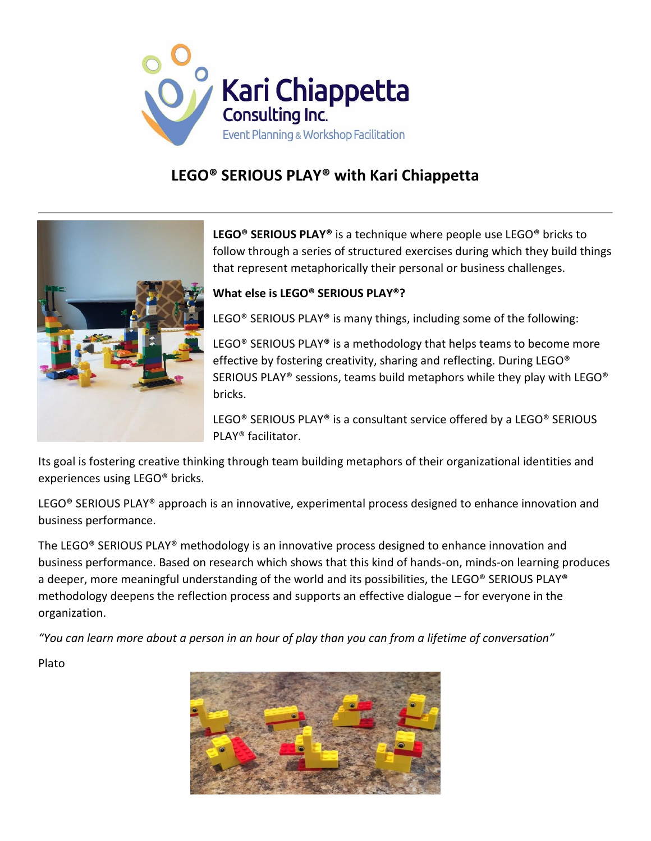

# **LEGO® SERIOUS PLAY® with Kari Chiappetta**



**LEGO® SERIOUS PLAY®** is a technique where people use LEGO® bricks to follow through a series of structured exercises during which they build things that represent metaphorically their personal or business challenges.

## **What else is LEGO® SERIOUS PLAY®?**

LEGO® SERIOUS PLAY® is many things, including some of the following:

LEGO<sup>®</sup> SERIOUS PLAY<sup>®</sup> is a methodology that helps teams to become more effective by fostering creativity, sharing and reflecting. During LEGO® SERIOUS PLAY® sessions, teams build metaphors while they play with LEGO® bricks.

LEGO® SERIOUS PLAY® is a consultant service offered by a LEGO® SERIOUS PLAY® facilitator.

Its goal is fostering creative thinking through team building metaphors of their organizational identities and experiences using LEGO® bricks.

LEGO<sup>®</sup> SERIOUS PLAY<sup>®</sup> approach is an innovative, experimental process designed to enhance innovation and business performance.

The LEGO® SERIOUS PLAY® methodology is an innovative process designed to enhance innovation and business performance. Based on research which shows that this kind of hands-on, minds-on learning produces a deeper, more meaningful understanding of the world and its possibilities, the LEGO® SERIOUS PLAY® methodology deepens the reflection process and supports an effective dialogue – for everyone in the organization.

*"You can learn more about a person in an hour of play than you can from a lifetime of conversation"*

Plato